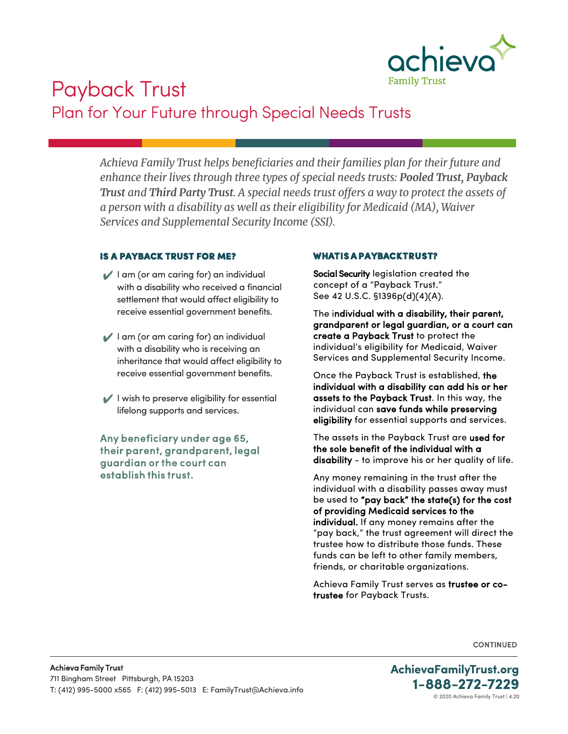

# Payback Trust Plan for Your Future through Special Needs Trusts

*Achieva Family Trust helps beneficiaries and their families plan for their future and enhance their lives through three types of special needs trusts: Pooled Trust, Payback Trust and Third Party Trust. A special needs trust offers a way to protect the assets of a person with a disability as well as their eligibility for Medicaid (MA), Waiver Services and Supplemental Security Income (SSI).* 

#### IS A PAYBACK TRUST FOR ME?

- $\blacktriangleright$  I am (or am caring for) an individual with a disability who received a financial settlement that would affect eligibility to receive essential government benefits.
- $\blacktriangleright$  I am (or am caring for) an individual with a disability who is receiving an inheritance that would affect eligibility to receive essential government benefits.
- $\vee$  I wish to preserve eligibility for essential lifelong supports and services.

Any beneficiary under age 65, their parent, grandparent, legal guardian or the court can establish this trust.

### WHAT IS A PAYBACK TRUST?

Social Security legislation created the concept of a "Payback Trust." See 42 U.S.C. §1396p(d)(4)(A).

The individual with a disability, their parent, grandparent or legal guardian, or a court can create a Payback Trust to protect the individual's eligibility for Medicaid, Waiver Services and Supplemental Security Income.

Once the Payback Trust is established, the individual with a disability can add his or her assets to the Payback Trust. In this way, the individual can save funds while preserving eligibility for essential supports and services.

The assets in the Payback Trust are used for the sole benefit of the individual with a disability - to improve his or her quality of life.

Any money remaining in the trust after the individual with a disability passes away must be used to "pay back" the state(s) for the cost of providing Medicaid services to the individual. If any money remains after the "pay back," the trust agreement will direct the trustee how to distribute those funds. These funds can be left to other family members, friends, or charitable organizations.

Achieva Family Trust serves as trustee or cotrustee for Payback Trusts.

**CONTINUED** 

© 2020 Achieva Family Trust | 4.20 **AchievaFamilyTrust.org 1-888-272-7229**